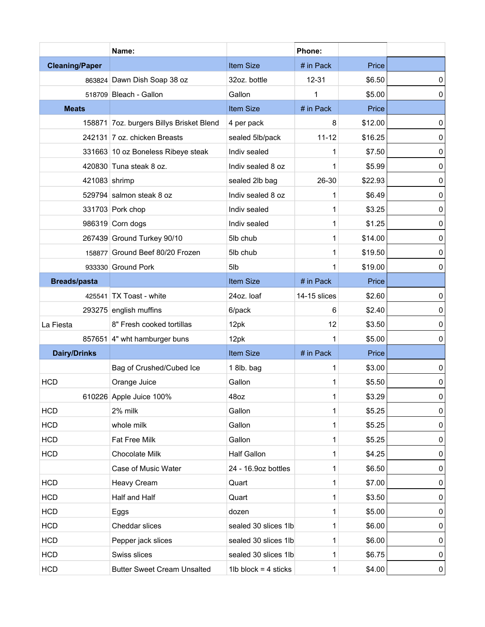|                       | Name:                                    |                        | Phone:       |         |           |
|-----------------------|------------------------------------------|------------------------|--------------|---------|-----------|
| <b>Cleaning/Paper</b> |                                          | <b>Item Size</b>       | # in Pack    | Price   |           |
|                       | 863824 Dawn Dish Soap 38 oz              | 32oz. bottle           | $12 - 31$    | \$6.50  | 0         |
|                       | 518709 Bleach - Gallon                   | Gallon                 | 1            | \$5.00  | 0         |
| <b>Meats</b>          |                                          | <b>Item Size</b>       | # in Pack    | Price   |           |
|                       | 158871 7oz. burgers Billys Brisket Blend | 4 per pack             | 8            | \$12.00 | 0         |
|                       | 242131 7 oz. chicken Breasts             | sealed 5lb/pack        | $11 - 12$    | \$16.25 | $\pmb{0}$ |
|                       | 331663 10 oz Boneless Ribeye steak       | Indiv sealed           | 1            | \$7.50  | 0         |
|                       | 420830 Tuna steak 8 oz.                  | Indiv sealed 8 oz      | 1            | \$5.99  | 0         |
|                       | 421083 shrimp                            | sealed 2lb bag         | 26-30        | \$22.93 | 0         |
|                       | 529794 salmon steak 8 oz                 | Indiv sealed 8 oz      | 1            | \$6.49  | 0         |
|                       | 331703 Pork chop                         | Indiv sealed           | 1            | \$3.25  | 0         |
|                       | 986319 Corn dogs                         | Indiv sealed           | 1            | \$1.25  | 0         |
|                       | 267439 Ground Turkey 90/10               | 5lb chub               | 1            | \$14.00 | 0         |
|                       | 158877 Ground Beef 80/20 Frozen          | 5lb chub               | 1            | \$19.50 | 0         |
|                       | 933330 Ground Pork                       | 5lb                    | 1            | \$19.00 | 0         |
| <b>Breads/pasta</b>   |                                          | <b>Item Size</b>       | # in Pack    | Price   |           |
|                       | 425541 $\overline{IX}$ Toast - white     | 24oz. loaf             | 14-15 slices | \$2.60  | 0         |
|                       | 293275 english muffins                   | 6/pack                 | 6            | \$2.40  | 0         |
| La Fiesta             | 8" Fresh cooked tortillas                | 12pk                   | 12           | \$3.50  | $\pmb{0}$ |
|                       | 857651 4" wht hamburger buns             | 12pk                   | 1            | \$5.00  | 0         |
| <b>Dairy/Drinks</b>   |                                          | <b>Item Size</b>       | # in Pack    | Price   |           |
|                       | Bag of Crushed/Cubed Ice                 | 1 8lb. bag             | 1            | \$3.00  | 0         |
| <b>HCD</b>            | Orange Juice                             | Gallon                 | 1            | \$5.50  | 0         |
|                       | 610226 Apple Juice 100%                  | 48oz                   | 1            | \$3.29  | $\pmb{0}$ |
| <b>HCD</b>            | 2% milk                                  | Gallon                 | 1            | \$5.25  | 0         |
| <b>HCD</b>            | whole milk                               | Gallon                 | 1            | \$5.25  | 0         |
| <b>HCD</b>            | Fat Free Milk                            | Gallon                 | 1            | \$5.25  | 0         |
| <b>HCD</b>            | Chocolate Milk                           | <b>Half Gallon</b>     | 1            | \$4.25  | 0         |
|                       | Case of Music Water                      | 24 - 16.9oz bottles    | 1            | \$6.50  | 0         |
| <b>HCD</b>            | Heavy Cream                              | Quart                  | 1            | \$7.00  | 0         |
| <b>HCD</b>            | Half and Half                            | Quart                  | 1            | \$3.50  | 0         |
| <b>HCD</b>            | Eggs                                     | dozen                  | 1            | \$5.00  | 0         |
| <b>HCD</b>            | Cheddar slices                           | sealed 30 slices 1lb   | 1            | \$6.00  | 0         |
| <b>HCD</b>            | Pepper jack slices                       | sealed 30 slices 1lb   | 1            | \$6.00  | 0         |
| <b>HCD</b>            | Swiss slices                             | sealed 30 slices 1lb   | 1            | \$6.75  | 0         |
| <b>HCD</b>            | <b>Butter Sweet Cream Unsalted</b>       | 1lb block = $4$ sticks | $\mathbf{1}$ | \$4.00  | 0         |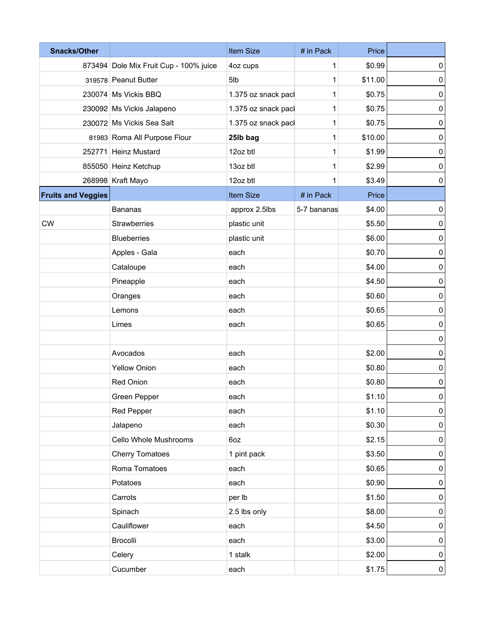| <b>Snacks/Other</b>       |                                        | Item Size           | # in Pack   | Price   |                  |
|---------------------------|----------------------------------------|---------------------|-------------|---------|------------------|
|                           | 873494 Dole Mix Fruit Cup - 100% juice | 4oz cups            | 1           | \$0.99  | 0                |
|                           | 319578 Peanut Butter                   | 5lb                 | 1           | \$11.00 | 0                |
|                           | 230074 Ms Vickis BBQ                   | 1.375 oz snack pacl | 1           | \$0.75  | 0                |
|                           | 230092 Ms Vickis Jalapeno              | 1.375 oz snack pacl | 1           | \$0.75  | $\pmb{0}$        |
|                           | 230072 Ms Vickis Sea Salt              | 1.375 oz snack pacl | 1           | \$0.75  | 0                |
|                           | 81983 Roma All Purpose Flour           | 25lb bag            | 1           | \$10.00 | $\pmb{0}$        |
|                           | 252771 Heinz Mustard                   | 12oz btl            | 1           | \$1.99  | $\pmb{0}$        |
|                           | 855050 Heinz Ketchup                   | 13oz btl            | 1           | \$2.99  | $\pmb{0}$        |
|                           | 268998 Kraft Mayo                      | 12oz btl            | 1           | \$3.49  | 0                |
| <b>Fruits and Veggies</b> |                                        | Item Size           | # in Pack   | Price   |                  |
|                           | <b>Bananas</b>                         | approx 2.5lbs       | 5-7 bananas | \$4.00  | $\pmb{0}$        |
| <b>CW</b>                 | Strawberries                           | plastic unit        |             | \$5.50  | $\pmb{0}$        |
|                           | <b>Blueberries</b>                     | plastic unit        |             | \$6.00  | $\pmb{0}$        |
|                           | Apples - Gala                          | each                |             | \$0.70  | $\pmb{0}$        |
|                           | Cataloupe                              | each                |             | \$4.00  | 0                |
|                           | Pineapple                              | each                |             | \$4.50  | $\pmb{0}$        |
|                           | Oranges                                | each                |             | \$0.60  | 0                |
|                           | Lemons                                 | each                |             | \$0.65  | $\pmb{0}$        |
|                           | Limes                                  | each                |             | \$0.65  | $\pmb{0}$        |
|                           |                                        |                     |             |         | 0                |
|                           | Avocados                               | each                |             | \$2.00  | 0                |
|                           | <b>Yellow Onion</b>                    | each                |             | \$0.80  | $\pmb{0}$        |
|                           | Red Onion                              | each                |             | \$0.80  | $\pmb{0}$        |
|                           | Green Pepper                           | each                |             | \$1.10  | $\overline{0}$   |
|                           | Red Pepper                             | each                |             | \$1.10  | $\pmb{0}$        |
|                           | Jalapeno                               | each                |             | \$0.30  | $\pmb{0}$        |
|                           | Cello Whole Mushrooms                  | 6oz                 |             | \$2.15  | 0                |
|                           | <b>Cherry Tomatoes</b>                 | 1 pint pack         |             | \$3.50  | 0                |
|                           | Roma Tomatoes                          | each                |             | \$0.65  | 0                |
|                           | Potatoes                               | each                |             | \$0.90  | 0                |
|                           | Carrots                                | per lb              |             | \$1.50  | 0                |
|                           | Spinach                                | 2.5 lbs only        |             | \$8.00  | 0                |
|                           | Cauliflower                            | each                |             | \$4.50  | 0                |
|                           | Brocolli                               | each                |             | \$3.00  | $\pmb{0}$        |
|                           | Celery                                 | 1 stalk             |             | \$2.00  | 0                |
|                           | Cucumber                               | each                |             | \$1.75  | $\boldsymbol{0}$ |